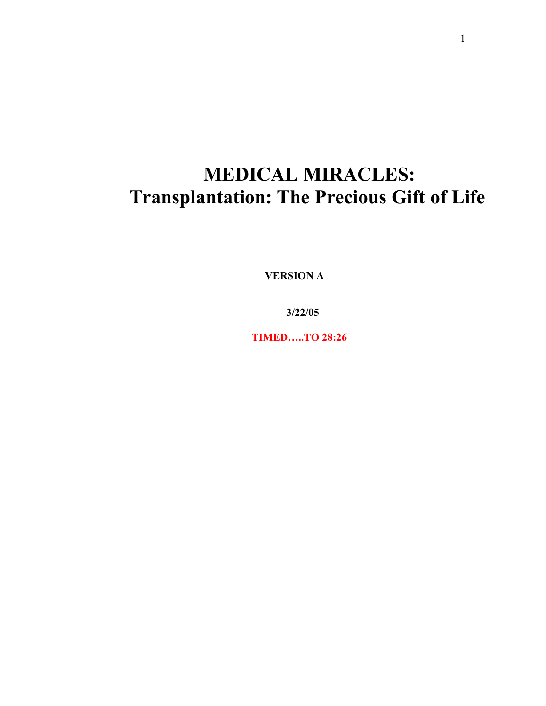## **MEDICAL MIRACLES: Transplantation: The Precious Gift of Life**

 **VERSION A**

 **3/22/05**

 **TIMED…..TO 28:26**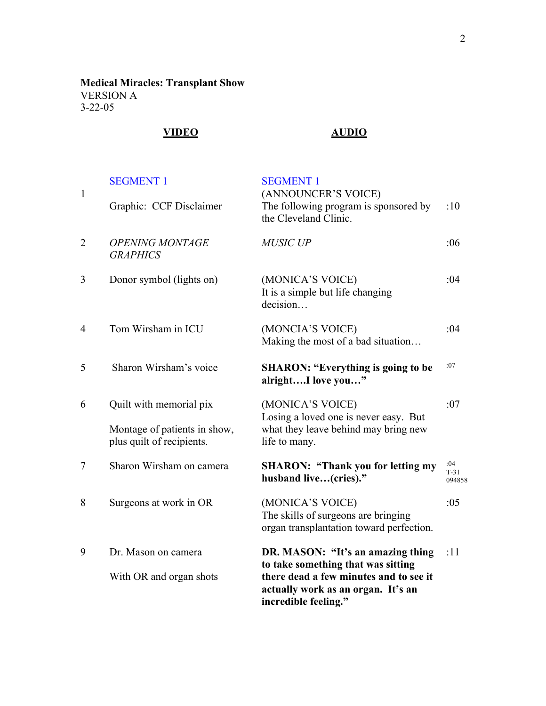**Medical Miracles: Transplant Show** VERSION A 3-22-05

## **VIDEO AUDIO**

| $\mathbf{1}$   | <b>SEGMENT 1</b>                                                                     | <b>SEGMENT 1</b><br>(ANNOUNCER'S VOICE)                                                                                                                                         |                         |
|----------------|--------------------------------------------------------------------------------------|---------------------------------------------------------------------------------------------------------------------------------------------------------------------------------|-------------------------|
|                | Graphic: CCF Disclaimer                                                              | The following program is sponsored by<br>the Cleveland Clinic.                                                                                                                  | :10                     |
| $\overline{2}$ | <b>OPENING MONTAGE</b><br><b>GRAPHICS</b>                                            | <b>MUSIC UP</b>                                                                                                                                                                 | :06                     |
| 3              | Donor symbol (lights on)                                                             | (MONICA'S VOICE)<br>It is a simple but life changing<br>decision                                                                                                                | :04                     |
| 4              | Tom Wirsham in ICU                                                                   | (MONCIA'S VOICE)<br>Making the most of a bad situation                                                                                                                          | :04                     |
| 5              | Sharon Wirsham's voice                                                               | <b>SHARON: "Everything is going to be</b><br>alrightI love you"                                                                                                                 | :07                     |
| 6              | Quilt with memorial pix<br>Montage of patients in show,<br>plus quilt of recipients. | (MONICA'S VOICE)<br>Losing a loved one is never easy. But<br>what they leave behind may bring new<br>life to many.                                                              | :07                     |
| 7              | Sharon Wirsham on camera                                                             | <b>SHARON: "Thank you for letting my</b><br>husband live(cries)."                                                                                                               | :04<br>$T-31$<br>094858 |
| 8              | Surgeons at work in OR                                                               | (MONICA'S VOICE)<br>The skills of surgeons are bringing<br>organ transplantation toward perfection.                                                                             | :05                     |
| 9              | Dr. Mason on camera<br>With OR and organ shots                                       | DR. MASON: "It's an amazing thing<br>to take something that was sitting<br>there dead a few minutes and to see it<br>actually work as an organ. It's an<br>incredible feeling." | :11                     |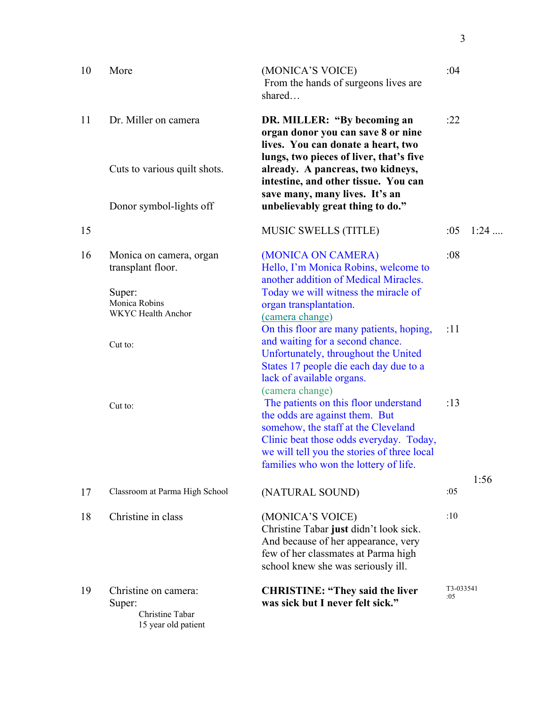| 10 | More                                                                     | (MONICA'S VOICE)<br>From the hands of surgeons lives are<br>shared                                                                                                                                                                                                   | :04              |        |
|----|--------------------------------------------------------------------------|----------------------------------------------------------------------------------------------------------------------------------------------------------------------------------------------------------------------------------------------------------------------|------------------|--------|
| 11 | Dr. Miller on camera                                                     | DR. MILLER: "By becoming an<br>organ donor you can save 8 or nine<br>lives. You can donate a heart, two<br>lungs, two pieces of liver, that's five                                                                                                                   | :22              |        |
|    | Cuts to various quilt shots.                                             | already. A pancreas, two kidneys,<br>intestine, and other tissue. You can<br>save many, many lives. It's an                                                                                                                                                          |                  |        |
|    | Donor symbol-lights off                                                  | unbelievably great thing to do."                                                                                                                                                                                                                                     |                  |        |
| 15 |                                                                          | <b>MUSIC SWELLS (TITLE)</b>                                                                                                                                                                                                                                          | :05              | $1:24$ |
| 16 | Monica on camera, organ<br>transplant floor.<br>Super:                   | (MONICA ON CAMERA)<br>Hello, I'm Monica Robins, welcome to<br>another addition of Medical Miracles.<br>Today we will witness the miracle of                                                                                                                          | :08              |        |
|    | Monica Robins<br>WKYC Health Anchor                                      | organ transplantation.<br>(camera change)                                                                                                                                                                                                                            |                  |        |
|    | Cut to:                                                                  | On this floor are many patients, hoping,<br>and waiting for a second chance.<br>Unfortunately, throughout the United<br>States 17 people die each day due to a<br>lack of available organs.                                                                          | :11              |        |
|    | Cut to:                                                                  | (camera change)<br>The patients on this floor understand<br>the odds are against them. But<br>somehow, the staff at the Cleveland<br>Clinic beat those odds everyday. Today,<br>we will tell you the stories of three local<br>families who won the lottery of life. | :13              |        |
| 17 | Classroom at Parma High School                                           | (NATURAL SOUND)                                                                                                                                                                                                                                                      | :05              | 1:56   |
| 18 | Christine in class                                                       | (MONICA'S VOICE)<br>Christine Tabar just didn't look sick.<br>And because of her appearance, very<br>few of her classmates at Parma high<br>school knew she was seriously ill.                                                                                       | :10              |        |
| 19 | Christine on camera:<br>Super:<br>Christine Tabar<br>15 year old patient | <b>CHRISTINE: "They said the liver</b><br>was sick but I never felt sick."                                                                                                                                                                                           | T3-033541<br>:05 |        |

3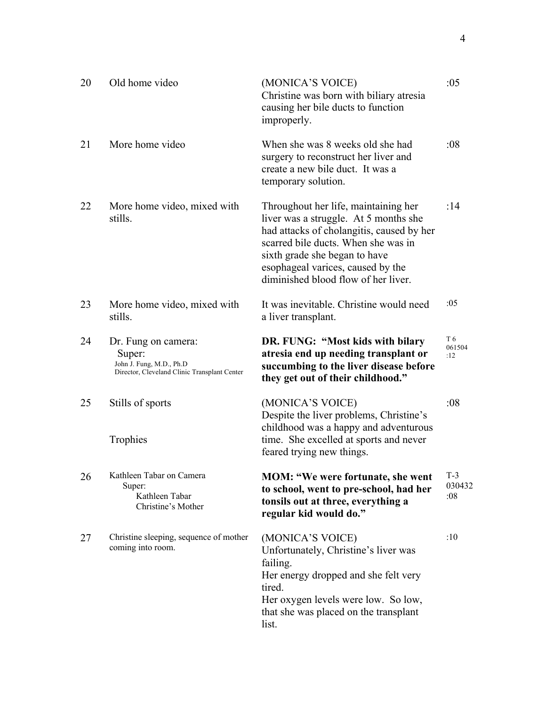| 20 | Old home video                                                                                            | (MONICA'S VOICE)<br>Christine was born with biliary atresia<br>causing her bile ducts to function<br>improperly.                                                                                                                                                               | :05                    |
|----|-----------------------------------------------------------------------------------------------------------|--------------------------------------------------------------------------------------------------------------------------------------------------------------------------------------------------------------------------------------------------------------------------------|------------------------|
| 21 | More home video                                                                                           | When she was 8 weeks old she had<br>surgery to reconstruct her liver and<br>create a new bile duct. It was a<br>temporary solution.                                                                                                                                            | :08                    |
| 22 | More home video, mixed with<br>stills.                                                                    | Throughout her life, maintaining her<br>liver was a struggle. At 5 months she<br>had attacks of cholangitis, caused by her<br>scarred bile ducts. When she was in<br>sixth grade she began to have<br>esophageal varices, caused by the<br>diminished blood flow of her liver. | :14                    |
| 23 | More home video, mixed with<br>stills.                                                                    | It was inevitable. Christine would need<br>a liver transplant.                                                                                                                                                                                                                 | :05                    |
| 24 | Dr. Fung on camera:<br>Super:<br>John J. Fung, M.D., Ph.D<br>Director, Cleveland Clinic Transplant Center | DR. FUNG: "Most kids with bilary<br>atresia end up needing transplant or<br>succumbing to the liver disease before<br>they get out of their childhood."                                                                                                                        | T 6<br>061504<br>:12   |
| 25 | Stills of sports<br>Trophies                                                                              | (MONICA'S VOICE)<br>Despite the liver problems, Christine's<br>childhood was a happy and adventurous<br>time. She excelled at sports and never<br>feared trying new things.                                                                                                    | :08                    |
| 26 | Kathleen Tabar on Camera<br>Super:<br>Kathleen Tabar<br>Christine's Mother                                | <b>MOM: "We were fortunate, she went</b><br>to school, went to pre-school, had her<br>tonsils out at three, everything a<br>regular kid would do."                                                                                                                             | $T-3$<br>030432<br>:08 |
| 27 | Christine sleeping, sequence of mother<br>coming into room.                                               | (MONICA'S VOICE)<br>Unfortunately, Christine's liver was<br>failing.<br>Her energy dropped and she felt very<br>tired.<br>Her oxygen levels were low. So low,<br>that she was placed on the transplant<br>list.                                                                | :10                    |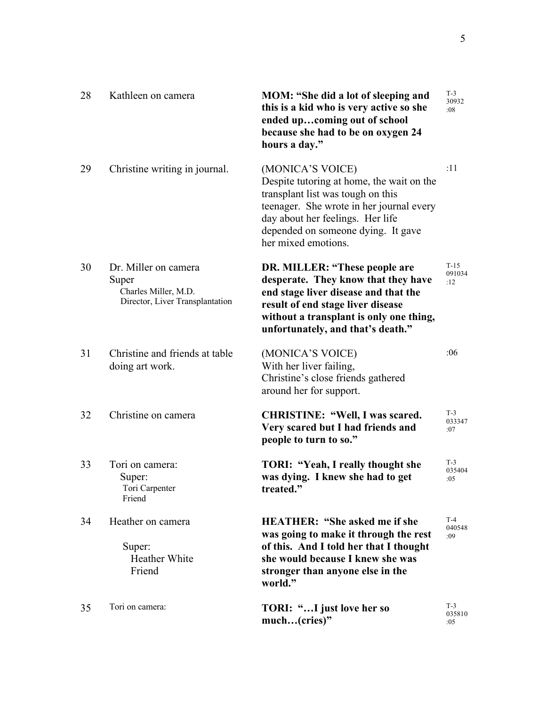| 28 | Kathleen on camera                                                                       | MOM: "She did a lot of sleeping and<br>this is a kid who is very active so she<br>ended upcoming out of school<br>because she had to be on oxygen 24<br>hours a day."                                                                           | $T-3$<br>30932<br>:08   |
|----|------------------------------------------------------------------------------------------|-------------------------------------------------------------------------------------------------------------------------------------------------------------------------------------------------------------------------------------------------|-------------------------|
| 29 | Christine writing in journal.                                                            | (MONICA'S VOICE)<br>Despite tutoring at home, the wait on the<br>transplant list was tough on this<br>teenager. She wrote in her journal every<br>day about her feelings. Her life<br>depended on someone dying. It gave<br>her mixed emotions. | :11                     |
| 30 | Dr. Miller on camera<br>Super<br>Charles Miller, M.D.<br>Director, Liver Transplantation | DR. MILLER: "These people are<br>desperate. They know that they have<br>end stage liver disease and that the<br>result of end stage liver disease<br>without a transplant is only one thing,<br>unfortunately, and that's death."               | $T-15$<br>091034<br>:12 |
| 31 | Christine and friends at table<br>doing art work.                                        | (MONICA'S VOICE)<br>With her liver failing,<br>Christine's close friends gathered<br>around her for support.                                                                                                                                    | :06                     |
| 32 | Christine on camera                                                                      | <b>CHRISTINE: "Well, I was scared.</b><br>Very scared but I had friends and<br>people to turn to so."                                                                                                                                           | $T-3$<br>033347<br>:07  |
| 33 | Tori on camera:<br>Super:<br>Tori Carpenter<br>Friend                                    | TORI: "Yeah, I really thought she<br>was dying. I knew she had to get<br>treated."                                                                                                                                                              | $T-3$<br>035404<br>:05  |
| 34 | Heather on camera<br>Super:<br>Heather White<br>Friend                                   | <b>HEATHER: "She asked me if she</b><br>was going to make it through the rest<br>of this. And I told her that I thought<br>she would because I knew she was<br>stronger than anyone else in the<br>world."                                      | $T-4$<br>040548<br>:09  |
| 35 | Tori on camera:                                                                          | TORI: "I just love her so<br>much(cries)"                                                                                                                                                                                                       | $T-3$<br>035810<br>:05  |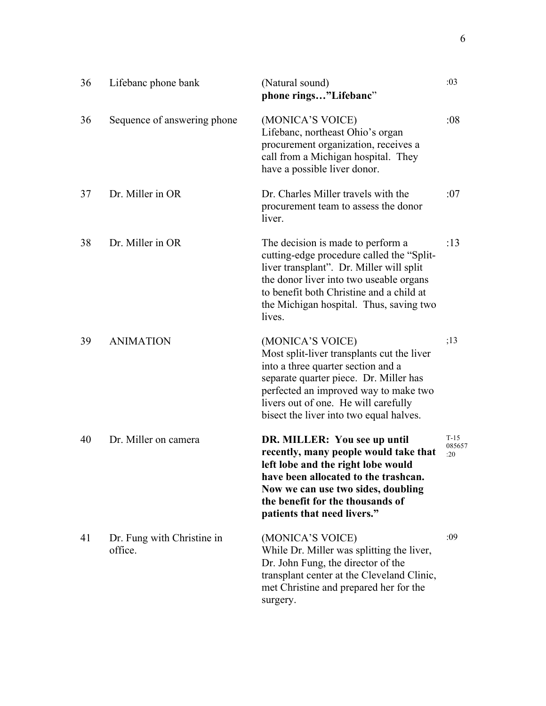| 36 | Lifebanc phone bank                   | (Natural sound)<br>phone rings"Lifebanc"                                                                                                                                                                                                                                   | :03                     |
|----|---------------------------------------|----------------------------------------------------------------------------------------------------------------------------------------------------------------------------------------------------------------------------------------------------------------------------|-------------------------|
| 36 | Sequence of answering phone           | (MONICA'S VOICE)<br>Lifebanc, northeast Ohio's organ<br>procurement organization, receives a<br>call from a Michigan hospital. They<br>have a possible liver donor.                                                                                                        | :08                     |
| 37 | Dr. Miller in OR                      | Dr. Charles Miller travels with the<br>procurement team to assess the donor<br>liver.                                                                                                                                                                                      | :07                     |
| 38 | Dr. Miller in OR                      | The decision is made to perform a<br>cutting-edge procedure called the "Split-<br>liver transplant". Dr. Miller will split<br>the donor liver into two useable organs<br>to benefit both Christine and a child at<br>the Michigan hospital. Thus, saving two<br>lives.     | :13                     |
| 39 | <b>ANIMATION</b>                      | (MONICA'S VOICE)<br>Most split-liver transplants cut the liver<br>into a three quarter section and a<br>separate quarter piece. Dr. Miller has<br>perfected an improved way to make two<br>livers out of one. He will carefully<br>bisect the liver into two equal halves. | ;13                     |
| 40 | Dr. Miller on camera                  | DR. MILLER: You see up until<br>recently, many people would take that<br>left lobe and the right lobe would<br>have been allocated to the trashcan.<br>Now we can use two sides, doubling<br>the benefit for the thousands of<br>patients that need livers."               | $T-15$<br>085657<br>:20 |
| 41 | Dr. Fung with Christine in<br>office. | (MONICA'S VOICE)<br>While Dr. Miller was splitting the liver,<br>Dr. John Fung, the director of the<br>transplant center at the Cleveland Clinic,<br>met Christine and prepared her for the<br>surgery.                                                                    | :09                     |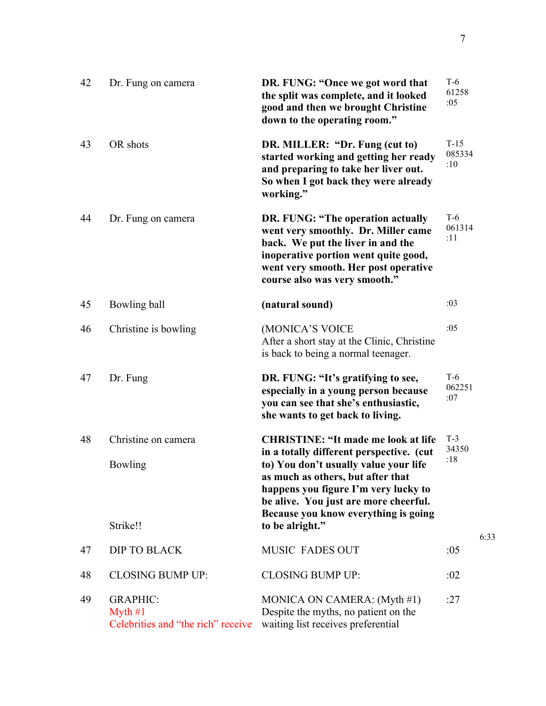| 42 | Dr. Fung on camera                                                 | DR. FUNG: "Once we got word that<br>the split was complete, and it looked<br>good and then we brought Christine<br>down to the operating room."                                                                                | $T-6$<br>61258<br>:05   |      |
|----|--------------------------------------------------------------------|--------------------------------------------------------------------------------------------------------------------------------------------------------------------------------------------------------------------------------|-------------------------|------|
| 43 | OR shots                                                           | DR. MILLER: "Dr. Fung (cut to)<br>started working and getting her ready<br>and preparing to take her liver out.<br>So when I got back they were already<br>working."                                                           | $T-15$<br>085334<br>:10 |      |
| 44 | Dr. Fung on camera                                                 | DR. FUNG: "The operation actually<br>went very smoothly. Dr. Miller came<br>back. We put the liver in and the<br>inoperative portion went quite good,<br>went very smooth. Her post operative<br>course also was very smooth." | $T-6$<br>061314<br>:11  |      |
| 45 | Bowling ball                                                       | (natural sound)                                                                                                                                                                                                                | :03                     |      |
| 46 | Christine is bowling                                               | (MONICA'S VOICE<br>After a short stay at the Clinic, Christine<br>is back to being a normal teenager.                                                                                                                          | :05                     |      |
| 47 | Dr. Fung                                                           | DR. FUNG: "It's gratifying to see,<br>especially in a young person because<br>you can see that she's enthusiastic,<br>she wants to get back to living.                                                                         | $T-6$<br>062251<br>:07  |      |
| 48 | Christine on camera                                                | <b>CHRISTINE: "It made me look at life</b><br>in a totally different perspective. (cut                                                                                                                                         | $T-3$<br>34350          |      |
|    | Bowling                                                            | to) You don't usually value your life<br>as much as others, but after that<br>happens you figure I'm very lucky to<br>be alive. You just are more cheerful.<br>Because you know everything is going                            | :18                     |      |
|    | Strike!!                                                           | to be alright."                                                                                                                                                                                                                |                         | 6:33 |
| 47 | <b>DIP TO BLACK</b>                                                | <b>MUSIC FADES OUT</b>                                                                                                                                                                                                         | :05                     |      |
| 48 | <b>CLOSING BUMP UP:</b>                                            | <b>CLOSING BUMP UP:</b>                                                                                                                                                                                                        | :02                     |      |
| 49 | <b>GRAPHIC:</b><br>Myth $#1$<br>Celebrities and "the rich" receive | MONICA ON CAMERA: $(Myth #1)$<br>Despite the myths, no patient on the<br>waiting list receives preferential                                                                                                                    | :27                     |      |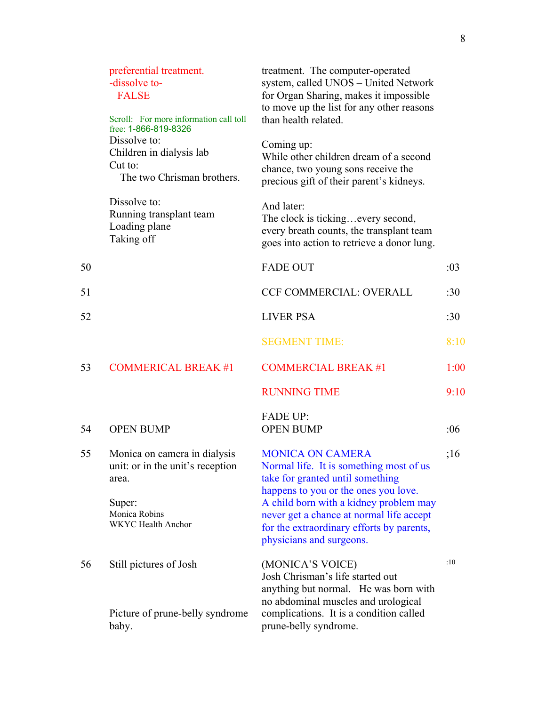|    | preferential treatment.<br>-dissolve to-<br><b>FALSE</b><br>Scroll: For more information call toll<br>free: 1-866-819-8326 | treatment. The computer-operated<br>system, called UNOS - United Network<br>for Organ Sharing, makes it impossible<br>to move up the list for any other reasons<br>than health related.                                                                                                                       |      |
|----|----------------------------------------------------------------------------------------------------------------------------|---------------------------------------------------------------------------------------------------------------------------------------------------------------------------------------------------------------------------------------------------------------------------------------------------------------|------|
|    | Dissolve to:<br>Children in dialysis lab<br>Cut to:<br>The two Chrisman brothers.                                          | Coming up:<br>While other children dream of a second<br>chance, two young sons receive the<br>precious gift of their parent's kidneys.                                                                                                                                                                        |      |
|    | Dissolve to:<br>Running transplant team<br>Loading plane<br>Taking off                                                     | And later:<br>The clock is tickingevery second,<br>every breath counts, the transplant team<br>goes into action to retrieve a donor lung.                                                                                                                                                                     |      |
| 50 |                                                                                                                            | <b>FADE OUT</b>                                                                                                                                                                                                                                                                                               | :03  |
| 51 |                                                                                                                            | <b>CCF COMMERCIAL: OVERALL</b>                                                                                                                                                                                                                                                                                | :30  |
| 52 |                                                                                                                            | <b>LIVER PSA</b>                                                                                                                                                                                                                                                                                              | :30  |
|    |                                                                                                                            | <b>SEGMENT TIME:</b>                                                                                                                                                                                                                                                                                          | 8:10 |
| 53 | <b>COMMERICAL BREAK #1</b>                                                                                                 | <b>COMMERCIAL BREAK #1</b>                                                                                                                                                                                                                                                                                    | 1:00 |
|    |                                                                                                                            | <b>RUNNING TIME</b>                                                                                                                                                                                                                                                                                           | 9:10 |
| 54 | <b>OPEN BUMP</b>                                                                                                           | <b>FADE UP:</b><br><b>OPEN BUMP</b>                                                                                                                                                                                                                                                                           | :06  |
| 55 | Monica on camera in dialysis<br>unit: or in the unit's reception<br>area.<br>Super:<br>Monica Robins<br>WKYC Health Anchor | <b>MONICA ON CAMERA</b><br>Normal life. It is something most of us<br>take for granted until something<br>happens to you or the ones you love.<br>A child born with a kidney problem may<br>never get a chance at normal life accept<br>for the extraordinary efforts by parents,<br>physicians and surgeons. | ;16  |
| 56 | Still pictures of Josh<br>Picture of prune-belly syndrome                                                                  | (MONICA'S VOICE)<br>Josh Chrisman's life started out<br>anything but normal. He was born with<br>no abdominal muscles and urological<br>complications. It is a condition called                                                                                                                               | :10  |
|    | baby.                                                                                                                      | prune-belly syndrome.                                                                                                                                                                                                                                                                                         |      |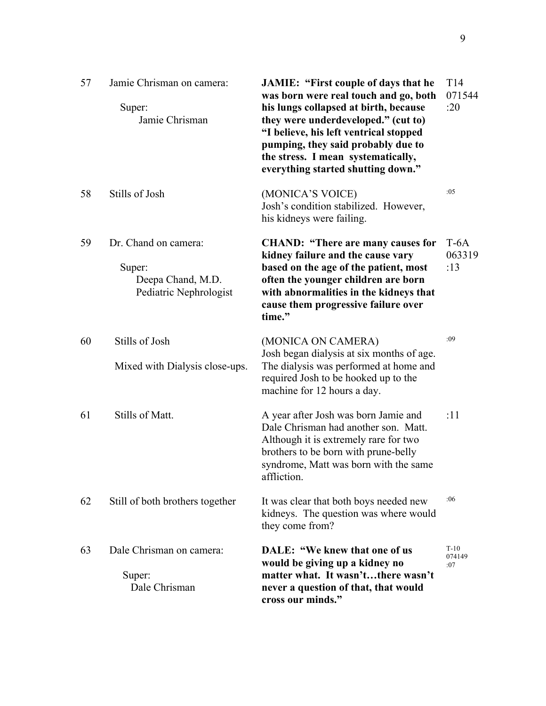| 57 | Jamie Chrisman on camera:<br>Super:<br>Jamie Chrisman                         | <b>JAMIE: "First couple of days that he</b><br>was born were real touch and go, both<br>his lungs collapsed at birth, because<br>they were underdeveloped." (cut to)<br>"I believe, his left ventrical stopped<br>pumping, they said probably due to<br>the stress. I mean systematically,<br>everything started shutting down." | T <sub>14</sub><br>071544<br>:20 |
|----|-------------------------------------------------------------------------------|----------------------------------------------------------------------------------------------------------------------------------------------------------------------------------------------------------------------------------------------------------------------------------------------------------------------------------|----------------------------------|
| 58 | Stills of Josh                                                                | (MONICA'S VOICE)<br>Josh's condition stabilized. However,<br>his kidneys were failing.                                                                                                                                                                                                                                           | :05                              |
| 59 | Dr. Chand on camera:<br>Super:<br>Deepa Chand, M.D.<br>Pediatric Nephrologist | <b>CHAND: "There are many causes for</b><br>kidney failure and the cause vary<br>based on the age of the patient, most<br>often the younger children are born<br>with abnormalities in the kidneys that<br>cause them progressive failure over<br>time."                                                                         | $T-6A$<br>063319<br>:13          |
| 60 | Stills of Josh<br>Mixed with Dialysis close-ups.                              | (MONICA ON CAMERA)<br>Josh began dialysis at six months of age.<br>The dialysis was performed at home and<br>required Josh to be hooked up to the<br>machine for 12 hours a day.                                                                                                                                                 | :09                              |
| 61 | Stills of Matt.                                                               | A year after Josh was born Jamie and<br>Dale Chrisman had another son. Matt.<br>Although it is extremely rare for two<br>brothers to be born with prune-belly<br>syndrome, Matt was born with the same<br>affliction.                                                                                                            | :11                              |
| 62 | Still of both brothers together                                               | It was clear that both boys needed new<br>kidneys. The question was where would<br>they come from?                                                                                                                                                                                                                               | :06                              |
| 63 | Dale Chrisman on camera:<br>Super:<br>Dale Chrisman                           | DALE: "We knew that one of us<br>would be giving up a kidney no<br>matter what. It wasn'tthere wasn't<br>never a question of that, that would<br>cross our minds."                                                                                                                                                               | $T-10$<br>074149<br>:07          |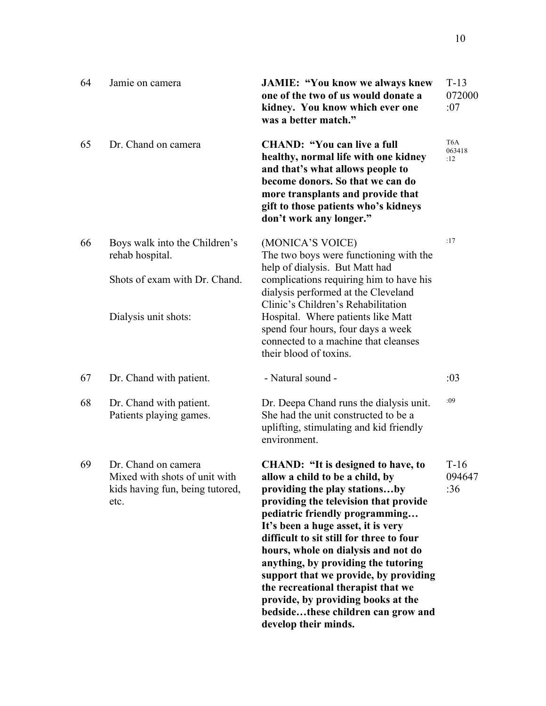| 64 | Jamie on camera                                                                                 | <b>JAMIE: "You know we always knew</b><br>one of the two of us would donate a<br>kidney. You know which ever one<br>was a better match."                                                                                                                                                                                                                                                                                                                                                                                                    | $T-13$<br>072000<br>:07           |
|----|-------------------------------------------------------------------------------------------------|---------------------------------------------------------------------------------------------------------------------------------------------------------------------------------------------------------------------------------------------------------------------------------------------------------------------------------------------------------------------------------------------------------------------------------------------------------------------------------------------------------------------------------------------|-----------------------------------|
| 65 | Dr. Chand on camera                                                                             | <b>CHAND: "You can live a full</b><br>healthy, normal life with one kidney<br>and that's what allows people to<br>become donors. So that we can do<br>more transplants and provide that<br>gift to those patients who's kidneys<br>don't work any longer."                                                                                                                                                                                                                                                                                  | T <sub>6</sub> A<br>063418<br>:12 |
| 66 | Boys walk into the Children's<br>rehab hospital.<br>Shots of exam with Dr. Chand.               | (MONICA'S VOICE)<br>The two boys were functioning with the<br>help of dialysis. But Matt had                                                                                                                                                                                                                                                                                                                                                                                                                                                | :17                               |
|    | Dialysis unit shots:                                                                            | complications requiring him to have his<br>dialysis performed at the Cleveland<br>Clinic's Children's Rehabilitation<br>Hospital. Where patients like Matt<br>spend four hours, four days a week<br>connected to a machine that cleanses<br>their blood of toxins.                                                                                                                                                                                                                                                                          |                                   |
| 67 | Dr. Chand with patient.                                                                         | - Natural sound -                                                                                                                                                                                                                                                                                                                                                                                                                                                                                                                           | :03                               |
| 68 | Dr. Chand with patient.<br>Patients playing games.                                              | Dr. Deepa Chand runs the dialysis unit.<br>She had the unit constructed to be a<br>uplifting, stimulating and kid friendly<br>environment.                                                                                                                                                                                                                                                                                                                                                                                                  | :09                               |
| 69 | Dr. Chand on camera<br>Mixed with shots of unit with<br>kids having fun, being tutored,<br>etc. | <b>CHAND: "It is designed to have, to</b><br>allow a child to be a child, by<br>providing the play stationsby<br>providing the television that provide<br>pediatric friendly programming<br>It's been a huge asset, it is very<br>difficult to sit still for three to four<br>hours, whole on dialysis and not do<br>anything, by providing the tutoring<br>support that we provide, by providing<br>the recreational therapist that we<br>provide, by providing books at the<br>bedsidethese children can grow and<br>develop their minds. | $T-16$<br>094647<br>:36           |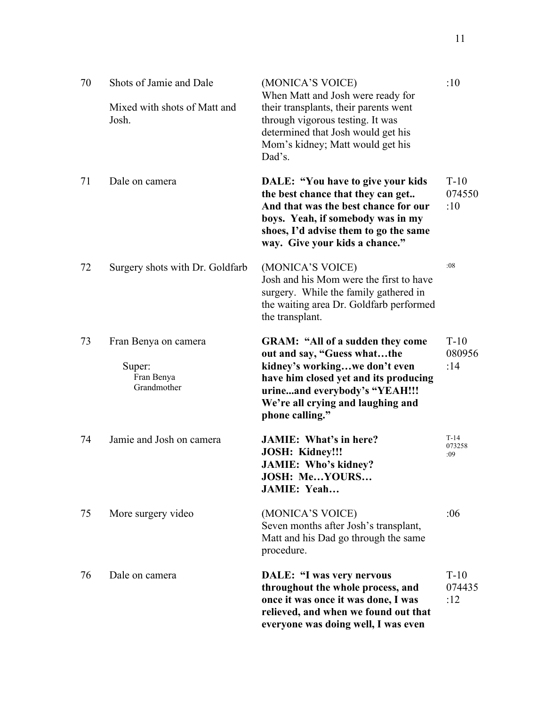| 70 | Shots of Jamie and Dale<br>Mixed with shots of Matt and<br>Josh. | (MONICA'S VOICE)<br>When Matt and Josh were ready for<br>their transplants, their parents went<br>through vigorous testing. It was<br>determined that Josh would get his<br>Mom's kidney; Matt would get his<br>Dad's.                    | :10                     |
|----|------------------------------------------------------------------|-------------------------------------------------------------------------------------------------------------------------------------------------------------------------------------------------------------------------------------------|-------------------------|
| 71 | Dale on camera                                                   | DALE: "You have to give your kids"<br>the best chance that they can get<br>And that was the best chance for our<br>boys. Yeah, if somebody was in my<br>shoes, I'd advise them to go the same<br>way. Give your kids a chance."           | $T-10$<br>074550<br>:10 |
| 72 | Surgery shots with Dr. Goldfarb                                  | (MONICA'S VOICE)<br>Josh and his Mom were the first to have<br>surgery. While the family gathered in<br>the waiting area Dr. Goldfarb performed<br>the transplant.                                                                        | :08                     |
| 73 | Fran Benya on camera<br>Super:<br>Fran Benya<br>Grandmother      | <b>GRAM: "All of a sudden they come</b><br>out and say, "Guess whatthe<br>kidney's workingwe don't even<br>have him closed yet and its producing<br>urineand everybody's "YEAH!!!<br>We're all crying and laughing and<br>phone calling." | $T-10$<br>080956<br>:14 |
| 74 | Jamie and Josh on camera                                         | <b>JAMIE:</b> What's in here?<br><b>JOSH: Kidney!!!</b><br><b>JAMIE: Who's kidney?</b><br>JOSH: MeYOURS<br><b>JAMIE: Yeah</b>                                                                                                             | $T-14$<br>073258<br>:09 |
| 75 | More surgery video                                               | (MONICA'S VOICE)<br>Seven months after Josh's transplant,<br>Matt and his Dad go through the same<br>procedure.                                                                                                                           | :06                     |
| 76 | Dale on camera                                                   | <b>DALE: "I was very nervous</b><br>throughout the whole process, and<br>once it was once it was done, I was<br>relieved, and when we found out that<br>everyone was doing well, I was even                                               | $T-10$<br>074435<br>:12 |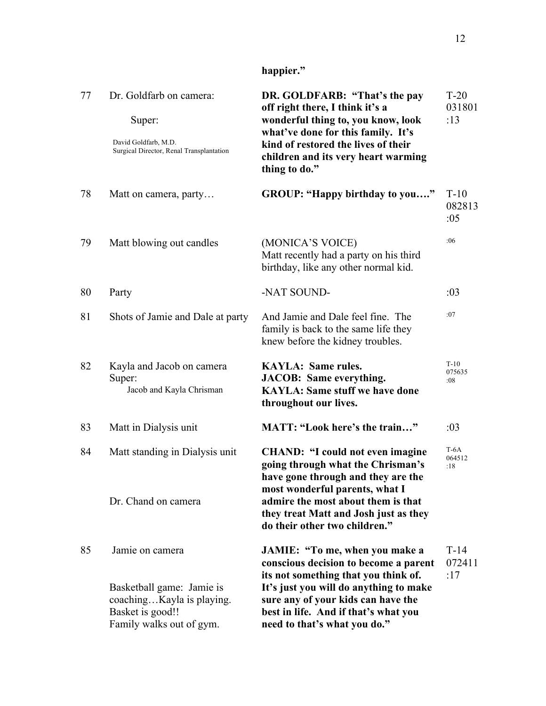| 77 | Dr. Goldfarb on camera:<br>Super:<br>David Goldfarb, M.D.<br>Surgical Director, Renal Transplantation                     | DR. GOLDFARB: "That's the pay<br>off right there, I think it's a<br>wonderful thing to, you know, look<br>what've done for this family. It's<br>kind of restored the lives of their<br>children and its very heart warming<br>thing to do."                             | $T-20$<br>031801<br>:13 |
|----|---------------------------------------------------------------------------------------------------------------------------|-------------------------------------------------------------------------------------------------------------------------------------------------------------------------------------------------------------------------------------------------------------------------|-------------------------|
| 78 | Matt on camera, party                                                                                                     | GROUP: "Happy birthday to you"                                                                                                                                                                                                                                          | $T-10$<br>082813<br>:05 |
| 79 | Matt blowing out candles                                                                                                  | (MONICA'S VOICE)<br>Matt recently had a party on his third<br>birthday, like any other normal kid.                                                                                                                                                                      | :06                     |
| 80 | Party                                                                                                                     | -NAT SOUND-                                                                                                                                                                                                                                                             | :03                     |
| 81 | Shots of Jamie and Dale at party                                                                                          | And Jamie and Dale feel fine. The<br>family is back to the same life they<br>knew before the kidney troubles.                                                                                                                                                           | :07                     |
| 82 | Kayla and Jacob on camera<br>Super:<br>Jacob and Kayla Chrisman                                                           | <b>KAYLA: Same rules.</b><br><b>JACOB:</b> Same everything.<br><b>KAYLA: Same stuff we have done</b><br>throughout our lives.                                                                                                                                           | $T-10$<br>075635<br>:08 |
| 83 | Matt in Dialysis unit                                                                                                     | MATT: "Look here's the train"                                                                                                                                                                                                                                           | :03                     |
| 84 | Matt standing in Dialysis unit<br>Dr. Chand on camera                                                                     | <b>CHAND: "I could not even imagine</b><br>going through what the Chrisman's<br>have gone through and they are the<br>most wonderful parents, what I<br>admire the most about them is that<br>they treat Matt and Josh just as they<br>do their other two children."    | $T-6A$<br>064512<br>:18 |
| 85 | Jamie on camera<br>Basketball game: Jamie is<br>coachingKayla is playing.<br>Basket is good!!<br>Family walks out of gym. | JAMIE: "To me, when you make a<br>conscious decision to become a parent<br>its not something that you think of.<br>It's just you will do anything to make<br>sure any of your kids can have the<br>best in life. And if that's what you<br>need to that's what you do." | $T-14$<br>072411<br>:17 |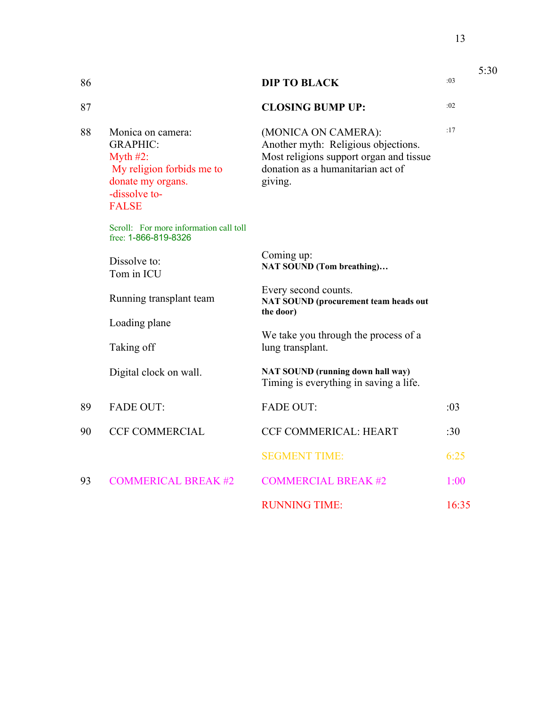| 86 |                                                                                                                                        | <b>DIP TO BLACK</b>                                                                                                                                   | :03   |
|----|----------------------------------------------------------------------------------------------------------------------------------------|-------------------------------------------------------------------------------------------------------------------------------------------------------|-------|
| 87 |                                                                                                                                        | <b>CLOSING BUMP UP:</b>                                                                                                                               | :02   |
| 88 | Monica on camera:<br><b>GRAPHIC:</b><br>Myth $#2$ :<br>My religion forbids me to<br>donate my organs.<br>-dissolve to-<br><b>FALSE</b> | (MONICA ON CAMERA):<br>Another myth: Religious objections.<br>Most religions support organ and tissue<br>donation as a humanitarian act of<br>giving. | :17   |
|    | Scroll: For more information call toll<br>free: 1-866-819-8326                                                                         |                                                                                                                                                       |       |
|    | Dissolve to:<br>Tom in ICU                                                                                                             | Coming up:<br><b>NAT SOUND (Tom breathing)</b>                                                                                                        |       |
|    | Running transplant team                                                                                                                | Every second counts.<br><b>NAT SOUND (procurement team heads out</b><br>the door)                                                                     |       |
|    | Loading plane                                                                                                                          |                                                                                                                                                       |       |
|    | Taking off                                                                                                                             | We take you through the process of a<br>lung transplant.                                                                                              |       |
|    | Digital clock on wall.                                                                                                                 | NAT SOUND (running down hall way)<br>Timing is everything in saving a life.                                                                           |       |
| 89 | <b>FADE OUT:</b>                                                                                                                       | <b>FADE OUT:</b>                                                                                                                                      | :03   |
| 90 | <b>CCF COMMERCIAL</b>                                                                                                                  | <b>CCF COMMERICAL: HEART</b>                                                                                                                          | :30   |
|    |                                                                                                                                        | <b>SEGMENT TIME:</b>                                                                                                                                  | 6:25  |
| 93 | <b>COMMERICAL BREAK #2</b>                                                                                                             | <b>COMMERCIAL BREAK #2</b>                                                                                                                            | 1:00  |
|    |                                                                                                                                        | <b>RUNNING TIME:</b>                                                                                                                                  | 16:35 |

13

5:30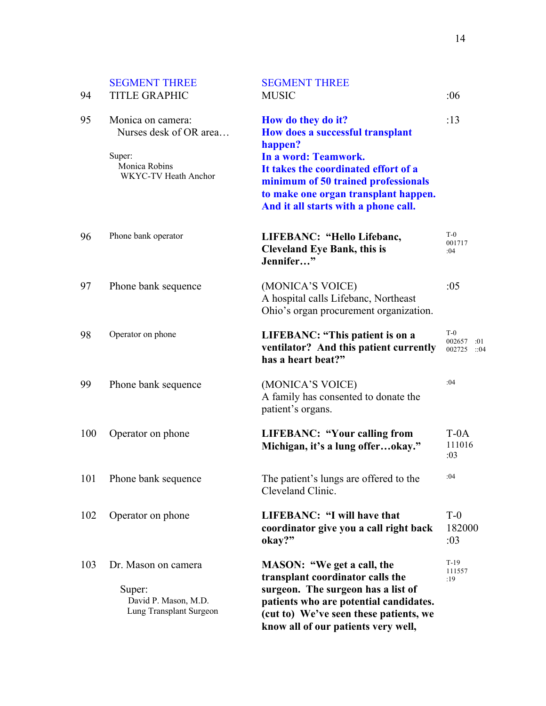| 94  | <b>SEGMENT THREE</b><br><b>TITLE GRAPHIC</b>                                                   | <b>SEGMENT THREE</b><br><b>MUSIC</b>                                                                                                                                                                                                                     | :06                                      |
|-----|------------------------------------------------------------------------------------------------|----------------------------------------------------------------------------------------------------------------------------------------------------------------------------------------------------------------------------------------------------------|------------------------------------------|
| 95  | Monica on camera:<br>Nurses desk of OR area<br>Super:<br>Monica Robins<br>WKYC-TV Heath Anchor | How do they do it?<br>How does a successful transplant<br>happen?<br>In a word: Teamwork.<br>It takes the coordinated effort of a<br>minimum of 50 trained professionals<br>to make one organ transplant happen.<br>And it all starts with a phone call. | :13                                      |
| 96  | Phone bank operator                                                                            | LIFEBANC: "Hello Lifebanc,<br><b>Cleveland Eye Bank, this is</b><br>Jennifer"                                                                                                                                                                            | $T-0$<br>001717<br>:04                   |
| 97  | Phone bank sequence                                                                            | (MONICA'S VOICE)<br>A hospital calls Lifebanc, Northeast<br>Ohio's organ procurement organization.                                                                                                                                                       | :05                                      |
| 98  | Operator on phone                                                                              | LIFEBANC: "This patient is on a<br>ventilator? And this patient currently<br>has a heart beat?"                                                                                                                                                          | $T-0$<br>002657<br>:01<br>002725<br>::04 |
| 99  | Phone bank sequence                                                                            | (MONICA'S VOICE)<br>A family has consented to donate the<br>patient's organs.                                                                                                                                                                            | :04                                      |
| 100 | Operator on phone                                                                              | <b>LIFEBANC: "Your calling from</b><br>Michigan, it's a lung offerokay."                                                                                                                                                                                 | $T-0A$<br>111016<br>:03                  |
|     | 101 Phone bank sequence                                                                        | The patient's lungs are offered to the<br>Cleveland Clinic.                                                                                                                                                                                              | :04                                      |
| 102 | Operator on phone                                                                              | LIFEBANC: "I will have that<br>coordinator give you a call right back<br>okay?"                                                                                                                                                                          | $T-0$<br>182000<br>:03                   |
| 103 | Dr. Mason on camera<br>Super:<br>David P. Mason, M.D.<br>Lung Transplant Surgeon               | MASON: "We get a call, the<br>transplant coordinator calls the<br>surgeon. The surgeon has a list of<br>patients who are potential candidates.<br>(cut to) We've seen these patients, we<br>know all of our patients very well,                          | $T-19$<br>111557<br>:19                  |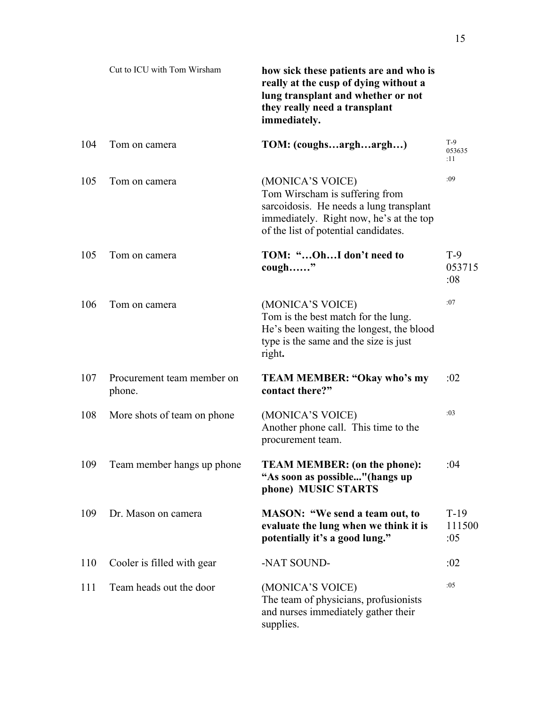|     | Cut to ICU with Tom Wirsham          | how sick these patients are and who is<br>really at the cusp of dying without a<br>lung transplant and whether or not<br>they really need a transplant<br>immediately.           |                         |
|-----|--------------------------------------|----------------------------------------------------------------------------------------------------------------------------------------------------------------------------------|-------------------------|
| 104 | Tom on camera                        | TOM: (coughsarghargh)                                                                                                                                                            | $T-9$<br>053635<br>:11  |
| 105 | Tom on camera                        | (MONICA'S VOICE)<br>Tom Wirscham is suffering from<br>sarcoidosis. He needs a lung transplant<br>immediately. Right now, he's at the top<br>of the list of potential candidates. | :09                     |
| 105 | Tom on camera                        | TOM: "OhI don't need to<br>cough"                                                                                                                                                | $T-9$<br>053715<br>:08  |
| 106 | Tom on camera                        | (MONICA'S VOICE)<br>Tom is the best match for the lung.<br>He's been waiting the longest, the blood<br>type is the same and the size is just<br>right.                           | :07                     |
| 107 | Procurement team member on<br>phone. | <b>TEAM MEMBER: "Okay who's my</b><br>contact there?"                                                                                                                            | :02                     |
| 108 | More shots of team on phone          | (MONICA'S VOICE)<br>Another phone call. This time to the<br>procurement team.                                                                                                    | :03                     |
| 109 | Team member hangs up phone           | <b>TEAM MEMBER: (on the phone):</b><br>"As soon as possible" (hangs up<br>phone) MUSIC STARTS                                                                                    | :04                     |
| 109 | Dr. Mason on camera                  | <b>MASON: "We send a team out, to</b><br>evaluate the lung when we think it is<br>potentially it's a good lung."                                                                 | $T-19$<br>111500<br>:05 |
| 110 | Cooler is filled with gear           | -NAT SOUND-                                                                                                                                                                      | :02                     |
| 111 | Team heads out the door              | (MONICA'S VOICE)<br>The team of physicians, profusionists<br>and nurses immediately gather their<br>supplies.                                                                    | :05                     |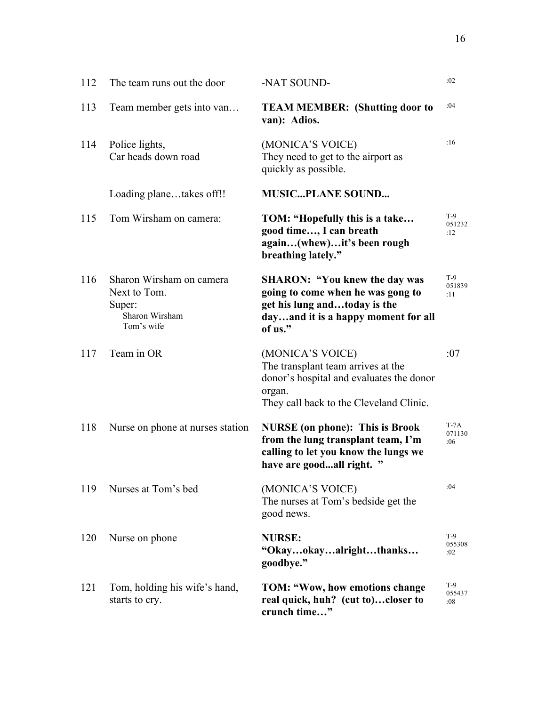| 112 | The team runs out the door                                                         | -NAT SOUND-                                                                                                                                                 | :02                     |
|-----|------------------------------------------------------------------------------------|-------------------------------------------------------------------------------------------------------------------------------------------------------------|-------------------------|
| 113 | Team member gets into van                                                          | <b>TEAM MEMBER: (Shutting door to</b><br>van): Adios.                                                                                                       | :04                     |
| 114 | Police lights,<br>Car heads down road                                              | (MONICA'S VOICE)<br>They need to get to the airport as<br>quickly as possible.                                                                              | :16                     |
|     | Loading planetakes off!!                                                           | <b>MUSICPLANE SOUND</b>                                                                                                                                     |                         |
| 115 | Tom Wirsham on camera:                                                             | TOM: "Hopefully this is a take<br>good time, I can breath<br>again(whew)it's been rough<br>breathing lately."                                               | $T-9$<br>051232<br>:12  |
| 116 | Sharon Wirsham on camera<br>Next to Tom.<br>Super:<br>Sharon Wirsham<br>Tom's wife | <b>SHARON: "You knew the day was</b><br>going to come when he was gong to<br>get his lung andtoday is the<br>dayand it is a happy moment for all<br>of us." | $T-9$<br>051839<br>:11  |
| 117 | Team in OR                                                                         | (MONICA'S VOICE)<br>The transplant team arrives at the<br>donor's hospital and evaluates the donor<br>organ.<br>They call back to the Cleveland Clinic.     | :07                     |
| 118 | Nurse on phone at nurses station                                                   | <b>NURSE</b> (on phone): This is Brook<br>from the lung transplant team, I'm<br>calling to let you know the lungs we<br>have are goodall right. "           | $T-7A$<br>071130<br>:06 |
| 119 | Nurses at Tom's bed                                                                | (MONICA'S VOICE)<br>The nurses at Tom's bedside get the<br>good news.                                                                                       | :04                     |
| 120 | Nurse on phone                                                                     | <b>NURSE:</b><br>"Okayokayalrightthanks<br>goodbye."                                                                                                        | $T-9$<br>055308<br>:02  |
| 121 | Tom, holding his wife's hand,<br>starts to cry.                                    | TOM: "Wow, how emotions change<br>real quick, huh? (cut to)closer to<br>crunch time"                                                                        | $T-9$<br>055437<br>:08  |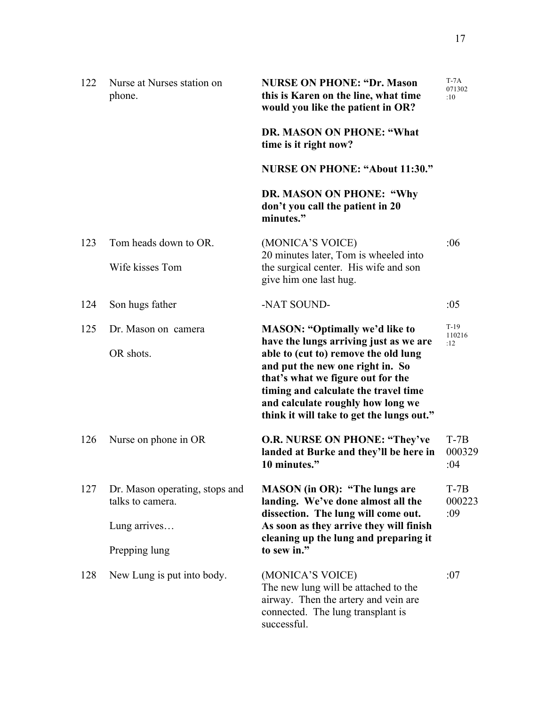| 122 | Nurse at Nurses station on<br>phone.               | <b>NURSE ON PHONE: "Dr. Mason</b><br>this is Karen on the line, what time<br>would you like the patient in OR?                                                                                                                                                                    | $T-7A$<br>071302<br>:10 |
|-----|----------------------------------------------------|-----------------------------------------------------------------------------------------------------------------------------------------------------------------------------------------------------------------------------------------------------------------------------------|-------------------------|
|     |                                                    | DR. MASON ON PHONE: "What<br>time is it right now?                                                                                                                                                                                                                                |                         |
|     |                                                    | <b>NURSE ON PHONE: "About 11:30."</b>                                                                                                                                                                                                                                             |                         |
|     |                                                    | DR. MASON ON PHONE: "Why<br>don't you call the patient in 20<br>minutes."                                                                                                                                                                                                         |                         |
| 123 | Tom heads down to OR.                              | (MONICA'S VOICE)                                                                                                                                                                                                                                                                  | :06                     |
|     | Wife kisses Tom                                    | 20 minutes later, Tom is wheeled into<br>the surgical center. His wife and son<br>give him one last hug.                                                                                                                                                                          |                         |
| 124 | Son hugs father                                    | -NAT SOUND-                                                                                                                                                                                                                                                                       | :05                     |
| 125 | Dr. Mason on camera                                | <b>MASON: "Optimally we'd like to</b>                                                                                                                                                                                                                                             | $T-19$<br>110216        |
|     | OR shots.                                          | have the lungs arriving just as we are<br>able to (cut to) remove the old lung<br>and put the new one right in. So<br>that's what we figure out for the<br>timing and calculate the travel time<br>and calculate roughly how long we<br>think it will take to get the lungs out." | :12                     |
| 126 | Nurse on phone in OR                               | <b>O.R. NURSE ON PHONE: "They've</b><br>landed at Burke and they'll be here in<br>10 minutes."                                                                                                                                                                                    | $T-7B$<br>000329<br>:04 |
| 127 | Dr. Mason operating, stops and<br>talks to camera. | <b>MASON</b> (in OR): "The lungs are<br>landing. We've done almost all the                                                                                                                                                                                                        | $T-7B$<br>000223<br>:09 |
|     | Lung arrives                                       | dissection. The lung will come out.<br>As soon as they arrive they will finish<br>cleaning up the lung and preparing it                                                                                                                                                           |                         |
|     | Prepping lung                                      | to sew in."                                                                                                                                                                                                                                                                       |                         |
| 128 | New Lung is put into body.                         | (MONICA'S VOICE)<br>The new lung will be attached to the<br>airway. Then the artery and vein are<br>connected. The lung transplant is<br>successful.                                                                                                                              | :07                     |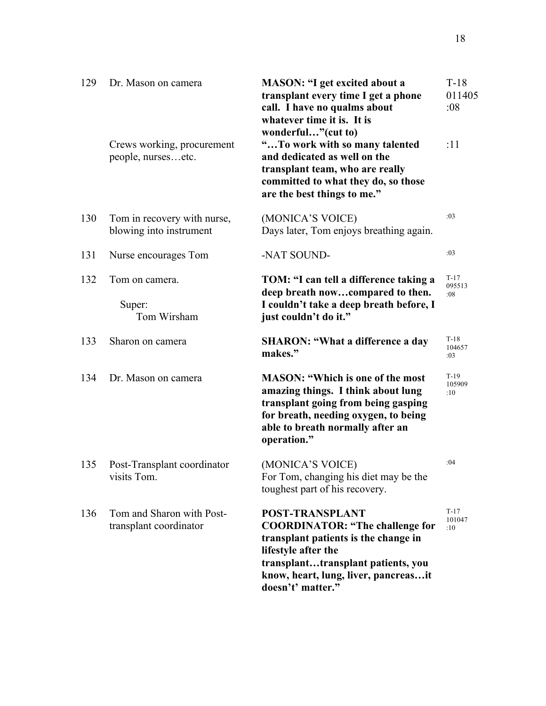| 129 | Dr. Mason on camera<br>Crews working, procurement      | <b>MASON: "I get excited about a</b><br>transplant every time I get a phone<br>call. I have no qualms about<br>whatever time it is. It is<br>wonderful"(cut to)<br>"To work with so many talented                                  | $T-18$<br>011405<br>:08<br>:11 |
|-----|--------------------------------------------------------|------------------------------------------------------------------------------------------------------------------------------------------------------------------------------------------------------------------------------------|--------------------------------|
|     | people, nursesetc.                                     | and dedicated as well on the<br>transplant team, who are really<br>committed to what they do, so those<br>are the best things to me."                                                                                              |                                |
| 130 | Tom in recovery with nurse,<br>blowing into instrument | (MONICA'S VOICE)<br>Days later, Tom enjoys breathing again.                                                                                                                                                                        | :03                            |
| 131 | Nurse encourages Tom                                   | -NAT SOUND-                                                                                                                                                                                                                        | :03                            |
| 132 | Tom on camera.<br>Super:<br>Tom Wirsham                | TOM: "I can tell a difference taking a<br>deep breath nowcompared to then.<br>I couldn't take a deep breath before, I<br>just couldn't do it."                                                                                     | $T-17$<br>095513<br>:08        |
| 133 | Sharon on camera                                       | <b>SHARON: "What a difference a day</b><br>makes."                                                                                                                                                                                 | $T-18$<br>104657<br>:03        |
| 134 | Dr. Mason on camera                                    | <b>MASON: "Which is one of the most</b><br>amazing things. I think about lung<br>transplant going from being gasping<br>for breath, needing oxygen, to being<br>able to breath normally after an<br>operation."                    | $T-19$<br>105909<br>:10        |
| 135 | Post-Transplant coordinator<br>visits Tom.             | (MONICA'S VOICE)<br>For Tom, changing his diet may be the<br>toughest part of his recovery.                                                                                                                                        | :04                            |
| 136 | Tom and Sharon with Post-<br>transplant coordinator    | <b>POST-TRANSPLANT</b><br><b>COORDINATOR: "The challenge for</b><br>transplant patients is the change in<br>lifestyle after the<br>transplanttransplant patients, you<br>know, heart, lung, liver, pancreasit<br>doesn't' matter." | $T-17$<br>101047<br>:10        |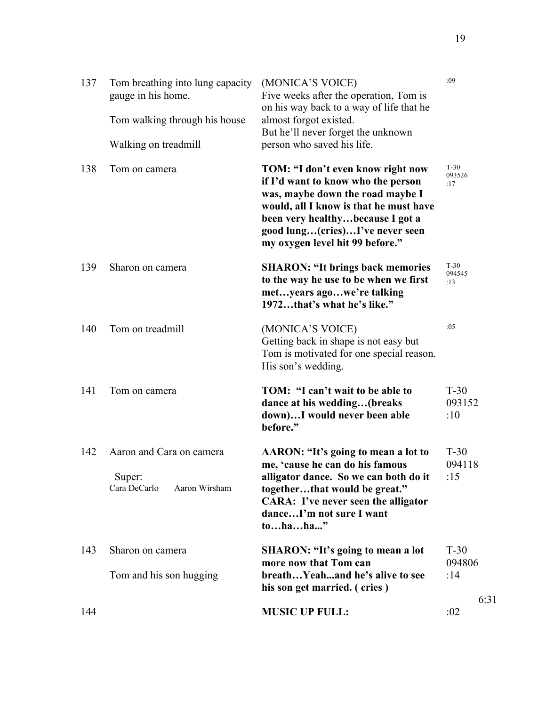| 137 | Tom breathing into lung capacity<br>gauge in his home.<br>Tom walking through his house<br>Walking on treadmill | (MONICA'S VOICE)<br>Five weeks after the operation, Tom is<br>on his way back to a way of life that he<br>almost forgot existed.<br>But he'll never forget the unknown<br>person who saved his life.                                                            | :09                     |
|-----|-----------------------------------------------------------------------------------------------------------------|-----------------------------------------------------------------------------------------------------------------------------------------------------------------------------------------------------------------------------------------------------------------|-------------------------|
| 138 | Tom on camera                                                                                                   | TOM: "I don't even know right now<br>if I'd want to know who the person<br>was, maybe down the road maybe I<br>would, all I know is that he must have<br>been very healthybecause I got a<br>good lung(cries)I've never seen<br>my oxygen level hit 99 before." | $T-30$<br>093526<br>:17 |
| 139 | Sharon on camera                                                                                                | <b>SHARON: "It brings back memories</b><br>to the way he use to be when we first<br>metyears agowe're talking<br>1972that's what he's like."                                                                                                                    | $T-30$<br>094545<br>:13 |
| 140 | Tom on treadmill                                                                                                | (MONICA'S VOICE)<br>Getting back in shape is not easy but<br>Tom is motivated for one special reason.<br>His son's wedding.                                                                                                                                     | :05                     |
| 141 | Tom on camera                                                                                                   | TOM: "I can't wait to be able to<br>dance at his wedding(breaks<br>down)I would never been able<br>before."                                                                                                                                                     | $T-30$<br>093152<br>:10 |
| 142 | Aaron and Cara on camera<br>Super:<br>Cara DeCarlo<br>Aaron Wirsham                                             | AARON: "It's going to mean a lot to<br>me, 'cause he can do his famous<br>alligator dance. So we can both do it<br>togetherthat would be great."<br><b>CARA:</b> I've never seen the alligator<br>danceI'm not sure I want<br>tohaha"                           | $T-30$<br>094118<br>:15 |
| 143 | Sharon on camera<br>Tom and his son hugging                                                                     | <b>SHARON: "It's going to mean a lot</b><br>more now that Tom can<br>breathYeahand he's alive to see<br>his son get married. (cries)                                                                                                                            | $T-30$<br>094806<br>:14 |
| 144 |                                                                                                                 | <b>MUSIC UP FULL:</b>                                                                                                                                                                                                                                           | 6:31<br>:02             |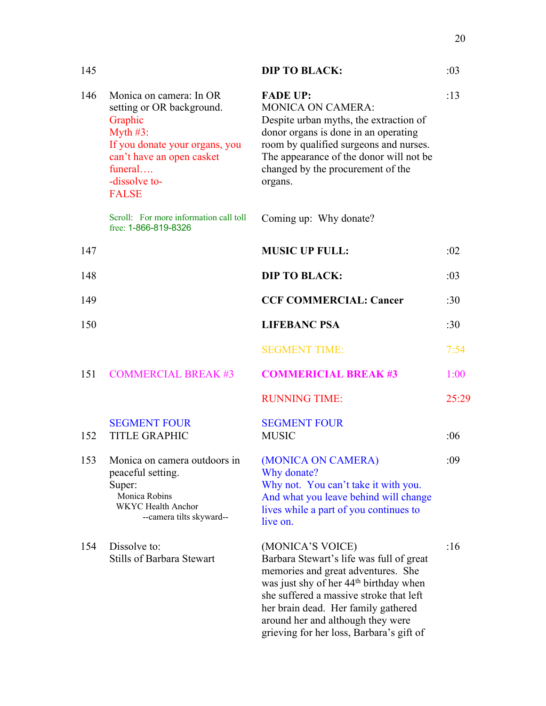| 145 |                                                                                                                                                                                           | <b>DIP TO BLACK:</b>                                                                                                                                                                                                                                                                                                        | :03   |
|-----|-------------------------------------------------------------------------------------------------------------------------------------------------------------------------------------------|-----------------------------------------------------------------------------------------------------------------------------------------------------------------------------------------------------------------------------------------------------------------------------------------------------------------------------|-------|
| 146 | Monica on camera: In OR<br>setting or OR background.<br>Graphic<br>Myth $#3$ :<br>If you donate your organs, you<br>can't have an open casket<br>funeral<br>-dissolve to-<br><b>FALSE</b> | <b>FADE UP:</b><br><b>MONICA ON CAMERA:</b><br>Despite urban myths, the extraction of<br>donor organs is done in an operating<br>room by qualified surgeons and nurses.<br>The appearance of the donor will not be<br>changed by the procurement of the<br>organs.                                                          | :13   |
|     | Scroll: For more information call toll<br>free: 1-866-819-8326                                                                                                                            | Coming up: Why donate?                                                                                                                                                                                                                                                                                                      |       |
| 147 |                                                                                                                                                                                           | <b>MUSIC UP FULL:</b>                                                                                                                                                                                                                                                                                                       | :02   |
| 148 |                                                                                                                                                                                           | <b>DIP TO BLACK:</b>                                                                                                                                                                                                                                                                                                        | :03   |
| 149 |                                                                                                                                                                                           | <b>CCF COMMERCIAL: Cancer</b>                                                                                                                                                                                                                                                                                               | :30   |
| 150 |                                                                                                                                                                                           | <b>LIFEBANC PSA</b>                                                                                                                                                                                                                                                                                                         | :30   |
|     |                                                                                                                                                                                           | <b>SEGMENT TIME:</b>                                                                                                                                                                                                                                                                                                        | 7:54  |
| 151 | <b>COMMERCIAL BREAK #3</b>                                                                                                                                                                | <b>COMMERICIAL BREAK #3</b>                                                                                                                                                                                                                                                                                                 | 1:00  |
|     |                                                                                                                                                                                           | <b>RUNNING TIME:</b>                                                                                                                                                                                                                                                                                                        | 25:29 |
| 152 | <b>SEGMENT FOUR</b><br><b>TITLE GRAPHIC</b>                                                                                                                                               | <b>SEGMENT FOUR</b><br><b>MUSIC</b>                                                                                                                                                                                                                                                                                         | :06   |
| 153 | Monica on camera outdoors in<br>peaceful setting.<br>Super:<br>Monica Robins<br><b>WKYC</b> Health Anchor<br>--camera tilts skyward--                                                     | (MONICA ON CAMERA)<br>Why donate?<br>Why not. You can't take it with you.<br>And what you leave behind will change<br>lives while a part of you continues to<br>live on.                                                                                                                                                    | :09   |
| 154 | Dissolve to:<br><b>Stills of Barbara Stewart</b>                                                                                                                                          | (MONICA'S VOICE)<br>Barbara Stewart's life was full of great<br>memories and great adventures. She<br>was just shy of her 44 <sup>th</sup> birthday when<br>she suffered a massive stroke that left<br>her brain dead. Her family gathered<br>around her and although they were<br>grieving for her loss, Barbara's gift of | :16   |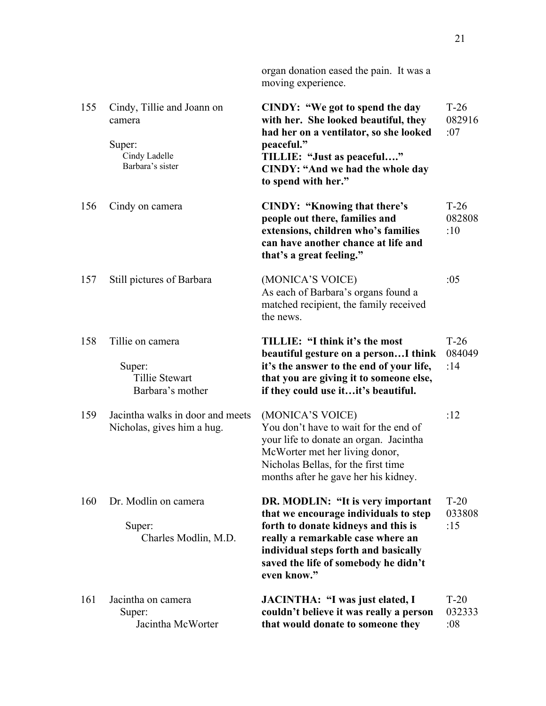|     |                                                                                     | organ donation eased the pain. It was a<br>moving experience.                                                                                                                                                                                         |                         |
|-----|-------------------------------------------------------------------------------------|-------------------------------------------------------------------------------------------------------------------------------------------------------------------------------------------------------------------------------------------------------|-------------------------|
| 155 | Cindy, Tillie and Joann on<br>camera<br>Super:<br>Cindy Ladelle<br>Barbara's sister | CINDY: "We got to spend the day<br>with her. She looked beautiful, they<br>had her on a ventilator, so she looked<br>peaceful."<br>TILLIE: "Just as peaceful"<br><b>CINDY: "And we had the whole day</b><br>to spend with her."                       | $T-26$<br>082916<br>:07 |
| 156 | Cindy on camera                                                                     | <b>CINDY: "Knowing that there's</b><br>people out there, families and<br>extensions, children who's families<br>can have another chance at life and<br>that's a great feeling."                                                                       | $T-26$<br>082808<br>:10 |
| 157 | Still pictures of Barbara                                                           | (MONICA'S VOICE)<br>As each of Barbara's organs found a<br>matched recipient, the family received<br>the news.                                                                                                                                        | :05                     |
| 158 | Tillie on camera<br>Super:<br>Tillie Stewart<br>Barbara's mother                    | TILLIE: "I think it's the most<br>beautiful gesture on a person I think<br>it's the answer to the end of your life,<br>that you are giving it to someone else,<br>if they could use itit's beautiful.                                                 | $T-26$<br>084049<br>:14 |
| 159 | Jacintha walks in door and meets<br>Nicholas, gives him a hug.                      | (MONICA'S VOICE)<br>You don't have to wait for the end of<br>your life to donate an organ. Jacintha<br>McWorter met her living donor,<br>Nicholas Bellas, for the first time<br>months after he gave her his kidney.                                  | :12                     |
| 160 | Dr. Modlin on camera<br>Super:<br>Charles Modlin, M.D.                              | DR. MODLIN: "It is very important<br>that we encourage individuals to step<br>forth to donate kidneys and this is<br>really a remarkable case where an<br>individual steps forth and basically<br>saved the life of somebody he didn't<br>even know." | $T-20$<br>033808<br>:15 |
| 161 | Jacintha on camera<br>Super:<br>Jacintha McWorter                                   | JACINTHA: "I was just elated, I<br>couldn't believe it was really a person<br>that would donate to someone they                                                                                                                                       | $T-20$<br>032333<br>:08 |